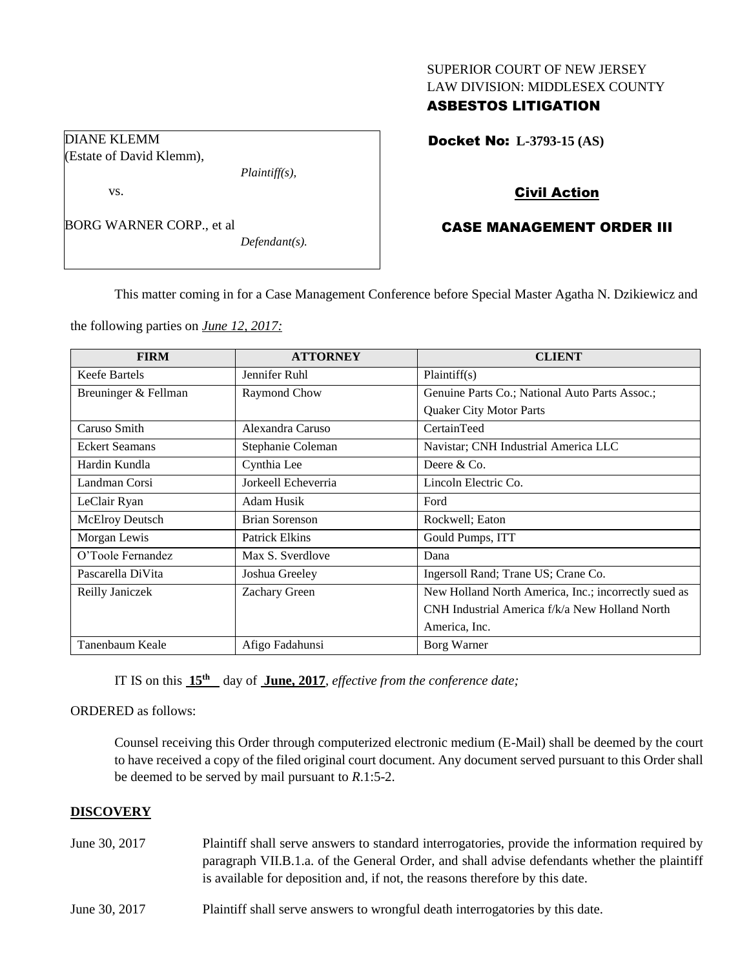## SUPERIOR COURT OF NEW JERSEY LAW DIVISION: MIDDLESEX COUNTY

# ASBESTOS LITIGATION

Docket No: **L-3793-15 (AS)** 

## Civil Action

# CASE MANAGEMENT ORDER III

This matter coming in for a Case Management Conference before Special Master Agatha N. Dzikiewicz and

the following parties on *June 12, 2017:*

| <b>FIRM</b>            | <b>ATTORNEY</b>       | <b>CLIENT</b>                                        |  |
|------------------------|-----------------------|------------------------------------------------------|--|
| Keefe Bartels          | Jennifer Ruhl         | Plaintiff(s)                                         |  |
| Breuninger & Fellman   | Raymond Chow          | Genuine Parts Co.; National Auto Parts Assoc.;       |  |
|                        |                       | <b>Quaker City Motor Parts</b>                       |  |
| Caruso Smith           | Alexandra Caruso      | CertainTeed                                          |  |
| <b>Eckert Seamans</b>  | Stephanie Coleman     | Navistar; CNH Industrial America LLC                 |  |
| Hardin Kundla          | Cynthia Lee           | Deere $&Co$ .                                        |  |
| Landman Corsi          | Jorkeell Echeverria   | Lincoln Electric Co.                                 |  |
| LeClair Ryan           | Adam Husik            | Ford                                                 |  |
| <b>McElroy Deutsch</b> | <b>Brian Sorenson</b> | Rockwell; Eaton                                      |  |
| Morgan Lewis           | <b>Patrick Elkins</b> | Gould Pumps, ITT                                     |  |
| O'Toole Fernandez      | Max S. Sverdlove      | Dana                                                 |  |
| Pascarella DiVita      | Joshua Greeley        | Ingersoll Rand; Trane US; Crane Co.                  |  |
| Reilly Janiczek        | Zachary Green         | New Holland North America, Inc.; incorrectly sued as |  |
|                        |                       | CNH Industrial America f/k/a New Holland North       |  |
|                        |                       | America, Inc.                                        |  |
| Tanenbaum Keale        | Afigo Fadahunsi       | Borg Warner                                          |  |

IT IS on this  $15<sup>th</sup>$  day of **June, 2017**, *effective from the conference date*;

ORDERED as follows:

Counsel receiving this Order through computerized electronic medium (E-Mail) shall be deemed by the court to have received a copy of the filed original court document. Any document served pursuant to this Order shall be deemed to be served by mail pursuant to *R*.1:5-2.

### **DISCOVERY**

- June 30, 2017 Plaintiff shall serve answers to standard interrogatories, provide the information required by paragraph VII.B.1.a. of the General Order, and shall advise defendants whether the plaintiff is available for deposition and, if not, the reasons therefore by this date.
- June 30, 2017 Plaintiff shall serve answers to wrongful death interrogatories by this date.

DIANE KLEMM (Estate of David Klemm),

vs.

BORG WARNER CORP., et al

*Defendant(s).*

*Plaintiff(s),*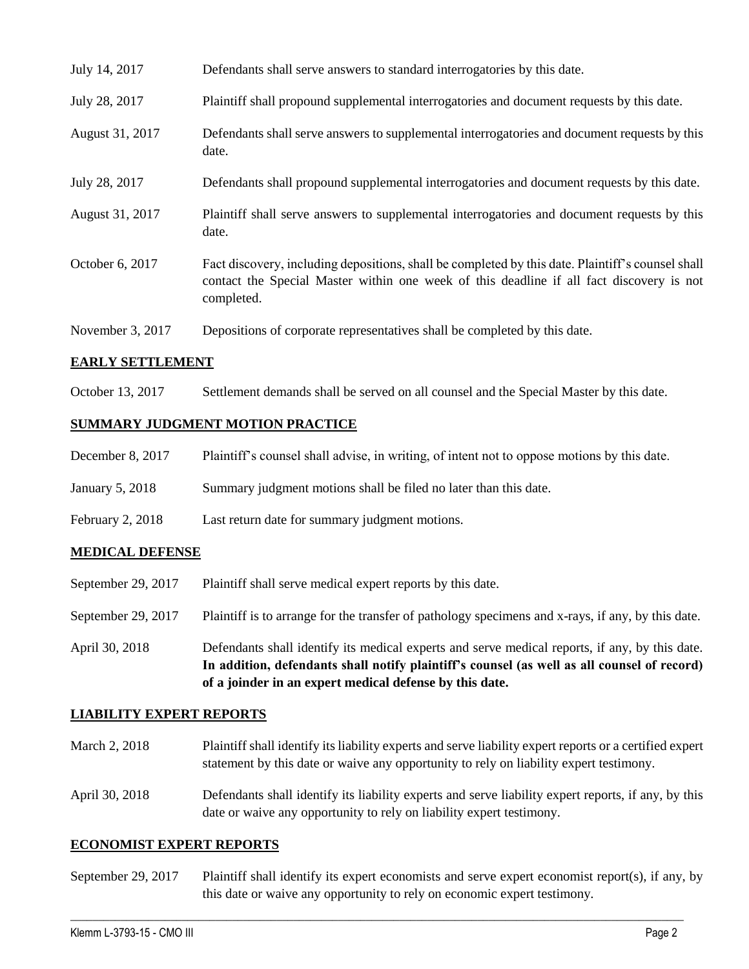| July 14, 2017    | Defendants shall serve answers to standard interrogatories by this date.                                                                                                                                    |
|------------------|-------------------------------------------------------------------------------------------------------------------------------------------------------------------------------------------------------------|
| July 28, 2017    | Plaintiff shall propound supplemental interrogatories and document requests by this date.                                                                                                                   |
| August 31, 2017  | Defendants shall serve answers to supplemental interrogatories and document requests by this<br>date.                                                                                                       |
| July 28, 2017    | Defendants shall propound supplemental interrogatories and document requests by this date.                                                                                                                  |
| August 31, 2017  | Plaintiff shall serve answers to supplemental interrogatories and document requests by this<br>date.                                                                                                        |
| October 6, 2017  | Fact discovery, including depositions, shall be completed by this date. Plaintiff's counsel shall<br>contact the Special Master within one week of this deadline if all fact discovery is not<br>completed. |
| November 3, 2017 | Depositions of corporate representatives shall be completed by this date.                                                                                                                                   |

### **EARLY SETTLEMENT**

October 13, 2017 Settlement demands shall be served on all counsel and the Special Master by this date.

## **SUMMARY JUDGMENT MOTION PRACTICE**

| December 8, 2017 | Plaintiff's counsel shall advise, in writing, of intent not to oppose motions by this date. |  |  |  |  |
|------------------|---------------------------------------------------------------------------------------------|--|--|--|--|
|------------------|---------------------------------------------------------------------------------------------|--|--|--|--|

- January 5, 2018 Summary judgment motions shall be filed no later than this date.
- February 2, 2018 Last return date for summary judgment motions.

### **MEDICAL DEFENSE**

- September 29, 2017 Plaintiff shall serve medical expert reports by this date.
- September 29, 2017 Plaintiff is to arrange for the transfer of pathology specimens and x-rays, if any, by this date.
- April 30, 2018 Defendants shall identify its medical experts and serve medical reports, if any, by this date. **In addition, defendants shall notify plaintiff's counsel (as well as all counsel of record) of a joinder in an expert medical defense by this date.**

### **LIABILITY EXPERT REPORTS**

- March 2, 2018 Plaintiff shall identify its liability experts and serve liability expert reports or a certified expert statement by this date or waive any opportunity to rely on liability expert testimony.
- April 30, 2018 Defendants shall identify its liability experts and serve liability expert reports, if any, by this date or waive any opportunity to rely on liability expert testimony.

### **ECONOMIST EXPERT REPORTS**

September 29, 2017 Plaintiff shall identify its expert economists and serve expert economist report(s), if any, by this date or waive any opportunity to rely on economic expert testimony.

 $\_$  ,  $\_$  ,  $\_$  ,  $\_$  ,  $\_$  ,  $\_$  ,  $\_$  ,  $\_$  ,  $\_$  ,  $\_$  ,  $\_$  ,  $\_$  ,  $\_$  ,  $\_$  ,  $\_$  ,  $\_$  ,  $\_$  ,  $\_$  ,  $\_$  ,  $\_$  ,  $\_$  ,  $\_$  ,  $\_$  ,  $\_$  ,  $\_$  ,  $\_$  ,  $\_$  ,  $\_$  ,  $\_$  ,  $\_$  ,  $\_$  ,  $\_$  ,  $\_$  ,  $\_$  ,  $\_$  ,  $\_$  ,  $\_$  ,